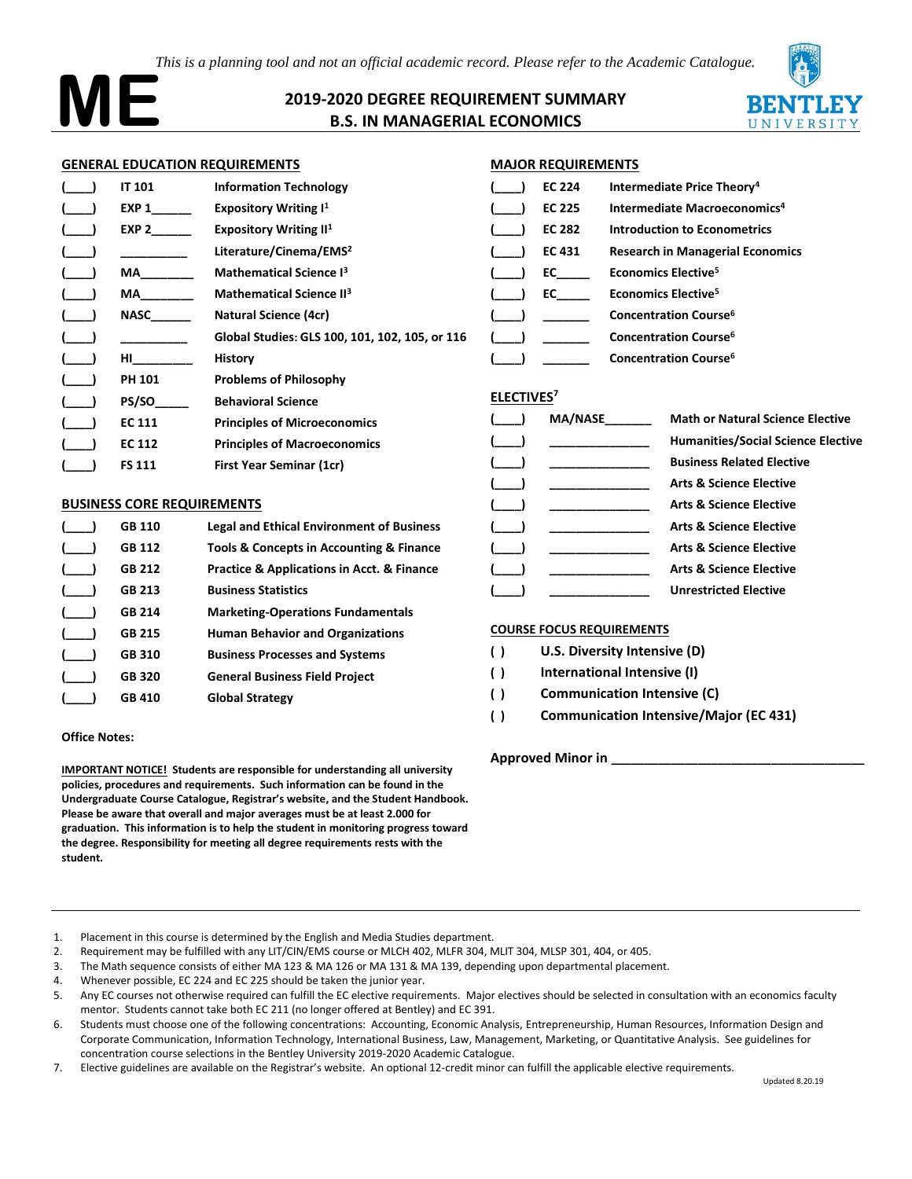*This is a planning tool and not an official academic record. Please refer to the Academic Catalogue.* 



# **2019-2020 DEGREE REQUIREMENT SUMMARY B.S. IN MANAGERIAL ECONOMICS**



#### **GENERAL EDUCATION REQUIREMENTS**

|                                      | <b>IT 101</b> | <b>Information Technology</b>                  |                        | <b>EC 224</b>  | <b>Intermediate Price The</b>            |
|--------------------------------------|---------------|------------------------------------------------|------------------------|----------------|------------------------------------------|
|                                      | EXP 1         | <b>Expository Writing I<sup>1</sup></b>        |                        | <b>EC 225</b>  | <b>Intermediate Macroec</b>              |
|                                      | EXP 2         | <b>Expository Writing II<sup>1</sup></b>       |                        | <b>EC 282</b>  | <b>Introduction to Econor</b>            |
|                                      |               | Literature/Cinema/EMS <sup>2</sup>             |                        | <b>EC 431</b>  | <b>Research in Manageria</b>             |
|                                      | MA            | <b>Mathematical Science I3</b>                 |                        | EC             | <b>Economics Elective<sup>5</sup></b>    |
|                                      | MA            | <b>Mathematical Science II3</b>                |                        | EC             | <b>Economics Elective<sup>5</sup></b>    |
|                                      | NASC          | <b>Natural Science (4cr)</b>                   |                        |                | <b>Concentration Course</b> <sup>6</sup> |
|                                      |               | Global Studies: GLS 100, 101, 102, 105, or 116 |                        |                | <b>Concentration Course</b> <sup>6</sup> |
|                                      | HI <b>HI</b>  | <b>History</b>                                 |                        |                | <b>Concentration Course</b> <sup>6</sup> |
|                                      | <b>PH 101</b> | <b>Problems of Philosophy</b>                  |                        |                |                                          |
|                                      | PS/SO         | <b>Behavioral Science</b>                      | ELECTIVES <sup>7</sup> |                |                                          |
|                                      | <b>EC 111</b> | <b>Principles of Microeconomics</b>            |                        | <b>MA/NASE</b> | <b>Math or Na</b>                        |
|                                      | <b>EC 112</b> | <b>Principles of Macroeconomics</b>            |                        |                | <b>Humanities</b>                        |
|                                      | <b>FS 111</b> | First Year Seminar (1cr)                       |                        |                | <b>Business Re</b>                       |
|                                      |               |                                                |                        |                | <b>Arts &amp; Scier</b>                  |
| <b>DIICINIECC CODE DEOLIIDEMENTC</b> |               |                                                |                        |                | $Amin$ $Bmin$                            |

#### **BUSINESS CORE REQUIREMENTS**

| <b>GB 110</b> | <b>Legal and Ethical Environment of Business</b>          |
|---------------|-----------------------------------------------------------|
| <b>GB 112</b> | Tools & Concepts in Accounting & Finance                  |
| <b>GB 212</b> | <b>Practice &amp; Applications in Acct. &amp; Finance</b> |
| <b>GB 213</b> | <b>Business Statistics</b>                                |
| <b>GB 214</b> | <b>Marketing-Operations Fundamentals</b>                  |
| <b>GB 215</b> | <b>Human Behavior and Organizations</b>                   |
| <b>GB 310</b> | <b>Business Processes and Systems</b>                     |
| <b>GB 320</b> | <b>General Business Field Project</b>                     |
| <b>GB 410</b> | <b>Global Strategy</b>                                    |
|               |                                                           |

#### **Office Notes:**

**IMPORTANT NOTICE! Students are responsible for understanding all university policies, procedures and requirements. Such information can be found in the Undergraduate Course Catalogue, Registrar's website, and the Student Handbook. Please be aware that overall and major averages must be at least 2.000 for graduation. This information is to help the student in monitoring progress toward the degree. Responsibility for meeting all degree requirements rests with the student.**

| <b>EC 224</b> | Intermediate Price Theory <sup>4</sup>   |
|---------------|------------------------------------------|
| <b>EC 225</b> | Intermediate Macroeconomics <sup>4</sup> |
| EC 282        | <b>Introduction to Econometrics</b>      |
| EC 431        | <b>Research in Managerial Economics</b>  |
| EC            | <b>Economics Elective<sup>5</sup></b>    |
| EC            | <b>Economics Elective<sup>5</sup></b>    |
|               | <b>Concentration Course</b> <sup>6</sup> |
|               | <b>Concentration Course</b> <sup>6</sup> |
|               | <b>Concentration Course</b> <sup>6</sup> |

| $\sqrt{2}$ | MA/NASE | <b>Math or Natural Science Elective</b>   |
|------------|---------|-------------------------------------------|
|            |         |                                           |
|            |         | <b>Humanities/Social Science Elective</b> |
|            |         | <b>Business Related Elective</b>          |
|            |         | <b>Arts &amp; Science Elective</b>        |
|            |         | <b>Arts &amp; Science Elective</b>        |
|            |         | <b>Arts &amp; Science Elective</b>        |
|            |         | <b>Arts &amp; Science Elective</b>        |
|            |         | <b>Arts &amp; Science Elective</b>        |
|            |         | <b>Unrestricted Elective</b>              |
|            |         |                                           |

#### **COURSE FOCUS REQUIREMENTS**

| ( ) |  |  | U.S. Diversity Intensive (D) |  |
|-----|--|--|------------------------------|--|
|-----|--|--|------------------------------|--|

- **( ) International Intensive (I)**
- **( ) Communication Intensive (C)**
- **( ) Communication Intensive/Major (EC 431)**

**Approved Minor in \_\_\_\_\_\_\_\_\_\_\_\_\_\_\_\_\_\_\_\_\_\_\_\_\_\_\_\_\_\_\_\_\_\_\_\_\_\_**

- 2. Requirement may be fulfilled with any LIT/CIN/EMS course or MLCH 402, MLFR 304, MLIT 304, MLSP 301, 404, or 405.
- 3. The Math sequence consists of either MA 123 & MA 126 or MA 131 & MA 139, depending upon departmental placement.
- 4. Whenever possible, EC 224 and EC 225 should be taken the junior year.
- 5. Any EC courses not otherwise required can fulfill the EC elective requirements. Major electives should be selected in consultation with an economics faculty mentor. Students cannot take both EC 211 (no longer offered at Bentley) and EC 391.
- 6. Students must choose one of the following concentrations: Accounting, Economic Analysis, Entrepreneurship, Human Resources, Information Design and Corporate Communication, Information Technology, International Business, Law, Management, Marketing, or Quantitative Analysis. See guidelines for concentration course selections in the Bentley University 2019-2020 Academic Catalogue.
- 7. Elective guidelines are available on the Registrar's website. An optional 12-credit minor can fulfill the applicable elective requirements.

<sup>1.</sup> Placement in this course is determined by the English and Media Studies department.